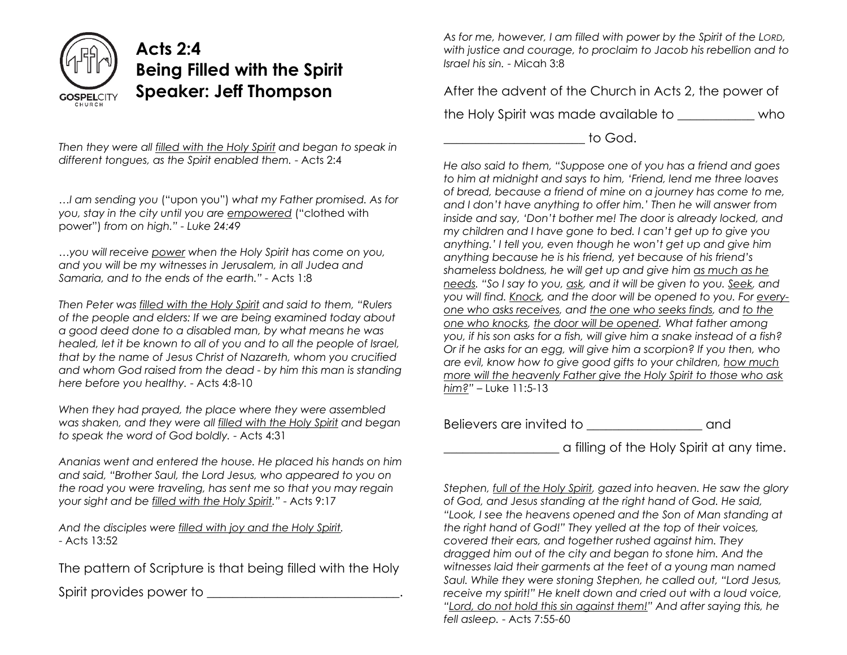

## **Acts 2:4 Being Filled with the Spirit Speaker: Jeff Thompson**

*Then they were all filled with the Holy Spirit and began to speak in different tongues, as the Spirit enabled them.* - Acts 2:4

*…I am sending you* ("upon you") *what my Father promised. As for you, stay in the city until you are empowered* ("clothed with power") *from on high." - Luke 24:49*

*…you will receive power when the Holy Spirit has come on you, and you will be my witnesses in Jerusalem, in all Judea and Samaria, and to the ends of the earth." -* Acts 1:8

*Then Peter was filled with the Holy Spirit and said to them, "Rulers of the people and elders: If we are being examined today about a good deed done to a disabled man, by what means he was healed, let it be known to all of you and to all the people of Israel, that by the name of Jesus Christ of Nazareth, whom you crucified and whom God raised from the dead - by him this man is standing here before you healthy.* - Acts 4:8-10

*When they had prayed, the place where they were assembled was shaken, and they were all filled with the Holy Spirit and began to speak the word of God boldly.* - Acts 4:31

*Ananias went and entered the house. He placed his hands on him and said, "Brother Saul, the Lord Jesus, who appeared to you on the road you were traveling, has sent me so that you may regain your sight and be filled with the Holy Spirit."* - Acts 9:17

*And the disciples were filled with joy and the Holy Spirit.* - Acts 13:52

The pattern of Scripture is that being filled with the Holy

Spirit provides power to \_\_\_\_\_\_\_\_\_\_\_\_\_\_\_\_\_\_\_\_\_\_\_\_\_\_.

*As for me, however, I am filled with power by the Spirit of the LORD, with justice and courage, to proclaim to Jacob his rebellion and to Israel his sin.* - Micah 3:8

After the advent of the Church in Acts 2, the power of

the Holy Spirit was made available to \_\_\_\_\_\_\_\_\_\_\_\_ who

 $\begin{array}{ccc} \text{to} & \text{to} & \text{to} & \text{to} \end{array}$ 

*He also said to them, "Suppose one of you has a friend and goes to him at midnight and says to him, 'Friend, lend me three loaves of bread, because a friend of mine on a journey has come to me, and I don't have anything to offer him.' Then he will answer from inside and say, 'Don't bother me! The door is already locked, and my children and I have gone to bed. I can't get up to give you anything.' I tell you, even though he won't get up and give him anything because he is his friend, yet because of his friend's shameless boldness, he will get up and give him as much as he needs. "So I say to you, ask, and it will be given to you. Seek, and you will find. Knock, and the door will be opened to you. For everyone who asks receives, and the one who seeks finds, and to the one who knocks, the door will be opened. What father among you, if his son asks for a fish, will give him a snake instead of a fish? Or if he asks for an egg, will give him a scorpion? If you then, who are evil, know how to give good gifts to your children, how much more will the heavenly Father give the Holy Spirit to those who ask him?"* – Luke 11:5-13

Believers are invited to \_\_\_\_\_\_\_\_\_\_\_\_\_\_\_\_\_\_ and

\_\_\_\_\_\_\_\_\_\_\_\_\_\_\_\_\_\_ a filling of the Holy Spirit at any time.

*Stephen, full of the Holy Spirit, gazed into heaven. He saw the glory of God, and Jesus standing at the right hand of God. He said, "Look, I see the heavens opened and the Son of Man standing at the right hand of God!" They yelled at the top of their voices, covered their ears, and together rushed against him. They dragged him out of the city and began to stone him. And the witnesses laid their garments at the feet of a young man named Saul. While they were stoning Stephen, he called out, "Lord Jesus, receive my spirit!" He knelt down and cried out with a loud voice, "Lord, do not hold this sin against them!" And after saying this, he fell asleep.* - Acts 7:55-60